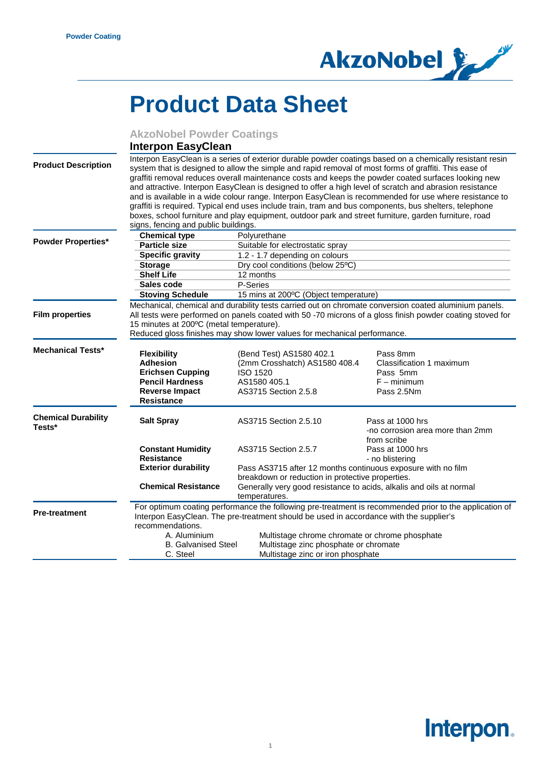

## **Product Data Sheet**

|                                      | <b>AkzoNobel Powder Coatings</b>                                                                                                                                                                                                                                                                                                                                                                                                                                                                                                                                                                                                                                                                                                                                                                         |                                                                                                                      |                                                                                 |
|--------------------------------------|----------------------------------------------------------------------------------------------------------------------------------------------------------------------------------------------------------------------------------------------------------------------------------------------------------------------------------------------------------------------------------------------------------------------------------------------------------------------------------------------------------------------------------------------------------------------------------------------------------------------------------------------------------------------------------------------------------------------------------------------------------------------------------------------------------|----------------------------------------------------------------------------------------------------------------------|---------------------------------------------------------------------------------|
|                                      | <b>Interpon EasyClean</b>                                                                                                                                                                                                                                                                                                                                                                                                                                                                                                                                                                                                                                                                                                                                                                                |                                                                                                                      |                                                                                 |
| <b>Product Description</b>           | Interpon EasyClean is a series of exterior durable powder coatings based on a chemically resistant resin<br>system that is designed to allow the simple and rapid removal of most forms of graffiti. This ease of<br>graffiti removal reduces overall maintenance costs and keeps the powder coated surfaces looking new<br>and attractive. Interpon EasyClean is designed to offer a high level of scratch and abrasion resistance<br>and is available in a wide colour range. Interpon EasyClean is recommended for use where resistance to<br>graffiti is required. Typical end uses include train, tram and bus components, bus shelters, telephone<br>boxes, school furniture and play equipment, outdoor park and street furniture, garden furniture, road<br>signs, fencing and public buildings. |                                                                                                                      |                                                                                 |
|                                      | <b>Chemical type</b>                                                                                                                                                                                                                                                                                                                                                                                                                                                                                                                                                                                                                                                                                                                                                                                     | Polyurethane                                                                                                         |                                                                                 |
| <b>Powder Properties*</b>            | <b>Particle size</b>                                                                                                                                                                                                                                                                                                                                                                                                                                                                                                                                                                                                                                                                                                                                                                                     | Suitable for electrostatic spray                                                                                     |                                                                                 |
|                                      | <b>Specific gravity</b>                                                                                                                                                                                                                                                                                                                                                                                                                                                                                                                                                                                                                                                                                                                                                                                  | 1.2 - 1.7 depending on colours                                                                                       |                                                                                 |
|                                      | <b>Storage</b>                                                                                                                                                                                                                                                                                                                                                                                                                                                                                                                                                                                                                                                                                                                                                                                           | Dry cool conditions (below 25°C)                                                                                     |                                                                                 |
|                                      | <b>Shelf Life</b>                                                                                                                                                                                                                                                                                                                                                                                                                                                                                                                                                                                                                                                                                                                                                                                        | 12 months                                                                                                            |                                                                                 |
|                                      | Sales code                                                                                                                                                                                                                                                                                                                                                                                                                                                                                                                                                                                                                                                                                                                                                                                               | P-Series                                                                                                             |                                                                                 |
|                                      | <b>Stoving Schedule</b>                                                                                                                                                                                                                                                                                                                                                                                                                                                                                                                                                                                                                                                                                                                                                                                  | 15 mins at 200°C (Object temperature)                                                                                |                                                                                 |
| <b>Film properties</b>               | Mechanical, chemical and durability tests carried out on chromate conversion coated aluminium panels.<br>All tests were performed on panels coated with 50 -70 microns of a gloss finish powder coating stoved for<br>15 minutes at 200°C (metal temperature).<br>Reduced gloss finishes may show lower values for mechanical performance.                                                                                                                                                                                                                                                                                                                                                                                                                                                               |                                                                                                                      |                                                                                 |
| <b>Mechanical Tests*</b>             | <b>Flexibility</b><br><b>Adhesion</b><br><b>Erichsen Cupping</b><br><b>Pencil Hardness</b><br><b>Reverse Impact</b><br><b>Resistance</b>                                                                                                                                                                                                                                                                                                                                                                                                                                                                                                                                                                                                                                                                 | (Bend Test) AS1580 402.1<br>(2mm Crosshatch) AS1580 408.4<br><b>ISO 1520</b><br>AS1580 405.1<br>AS3715 Section 2.5.8 | Pass 8mm<br>Classification 1 maximum<br>Pass 5mm<br>$F - minimum$<br>Pass 2.5Nm |
| <b>Chemical Durability</b><br>Tests* | <b>Salt Spray</b>                                                                                                                                                                                                                                                                                                                                                                                                                                                                                                                                                                                                                                                                                                                                                                                        | AS3715 Section 2.5.10                                                                                                | Pass at 1000 hrs<br>-no corrosion area more than 2mm<br>from scribe             |
|                                      | <b>Constant Humidity</b><br><b>Resistance</b>                                                                                                                                                                                                                                                                                                                                                                                                                                                                                                                                                                                                                                                                                                                                                            | AS3715 Section 2.5.7                                                                                                 | Pass at 1000 hrs<br>- no blistering                                             |
|                                      | <b>Exterior durability</b>                                                                                                                                                                                                                                                                                                                                                                                                                                                                                                                                                                                                                                                                                                                                                                               | Pass AS3715 after 12 months continuous exposure with no film<br>breakdown or reduction in protective properties.     |                                                                                 |
|                                      | <b>Chemical Resistance</b>                                                                                                                                                                                                                                                                                                                                                                                                                                                                                                                                                                                                                                                                                                                                                                               | Generally very good resistance to acids, alkalis and oils at normal                                                  |                                                                                 |

temperatures. **Pre-treatment** For optimum coating performance the following pre-treatment is recommended prior to the application of Interpon EasyClean. The pre-treatment should be used in accordance with the supplier's recommendations.<br>A. Aluminium A. Aluminium Multistage chrome chromate or chrome phosphate<br>B. Galvanised Steel Multistage zinc phosphate or chromate B. Galvanised Steel Multistage zinc phosphate or chromate<br>C. Steel Multistage zinc or iron phosphate Multistage zinc or iron phosphate

## Interpon.